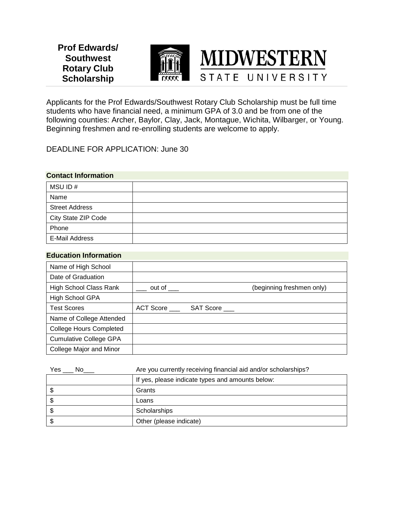**Prof Edwards/ Southwest Rotary Club Scholarship**



Applicants for the Prof Edwards/Southwest Rotary Club Scholarship must be full time students who have financial need, a minimum GPA of 3.0 and be from one of the following counties: Archer, Baylor, Clay, Jack, Montague, Wichita, Wilbarger, or Young. Beginning freshmen and re-enrolling students are welcome to apply.

DEADLINE FOR APPLICATION: June 30

## **Contact Information**

| MSU ID#               |  |
|-----------------------|--|
| Name                  |  |
| <b>Street Address</b> |  |
| City State ZIP Code   |  |
| Phone                 |  |
| E-Mail Address        |  |

## **Education Information**

| Name of High School            |                  |                  |                           |
|--------------------------------|------------------|------------------|---------------------------|
| Date of Graduation             |                  |                  |                           |
| <b>High School Class Rank</b>  | out of $\_\_$    |                  | (beginning freshmen only) |
| High School GPA                |                  |                  |                           |
| <b>Test Scores</b>             | <b>ACT Score</b> | <b>SAT Score</b> |                           |
| Name of College Attended       |                  |                  |                           |
| <b>College Hours Completed</b> |                  |                  |                           |
| <b>Cumulative College GPA</b>  |                  |                  |                           |
| College Major and Minor        |                  |                  |                           |

| Yes<br>No_ | Are you currently receiving financial aid and/or scholarships? |  |  |
|------------|----------------------------------------------------------------|--|--|
|            | If yes, please indicate types and amounts below:               |  |  |
|            | Grants                                                         |  |  |
| S          | Loans                                                          |  |  |
|            | Scholarships                                                   |  |  |
|            | Other (please indicate)                                        |  |  |